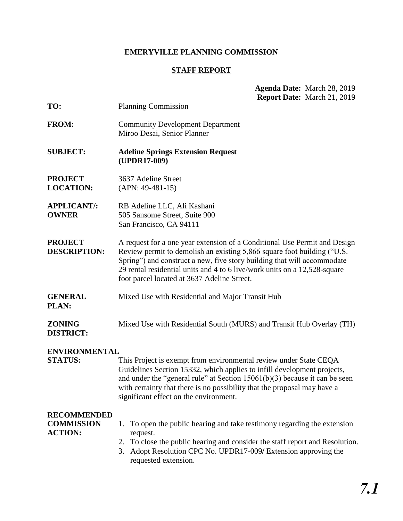## **EMERYVILLE PLANNING COMMISSION**

# **STAFF REPORT**

|                                                           | Agenda Date: March 28, 2019<br>Report Date: March 21, 2019                                                                                                                                                                                                                                                                                                  |  |
|-----------------------------------------------------------|-------------------------------------------------------------------------------------------------------------------------------------------------------------------------------------------------------------------------------------------------------------------------------------------------------------------------------------------------------------|--|
| TO:                                                       | <b>Planning Commission</b>                                                                                                                                                                                                                                                                                                                                  |  |
| <b>FROM:</b>                                              | <b>Community Development Department</b><br>Miroo Desai, Senior Planner                                                                                                                                                                                                                                                                                      |  |
| <b>SUBJECT:</b>                                           | <b>Adeline Springs Extension Request</b><br>(UPDR17-009)                                                                                                                                                                                                                                                                                                    |  |
| <b>PROJECT</b><br><b>LOCATION:</b>                        | 3637 Adeline Street<br>$(APN: 49-481-15)$                                                                                                                                                                                                                                                                                                                   |  |
| <b>APPLICANT/:</b><br><b>OWNER</b>                        | RB Adeline LLC, Ali Kashani<br>505 Sansome Street, Suite 900<br>San Francisco, CA 94111                                                                                                                                                                                                                                                                     |  |
| <b>PROJECT</b><br><b>DESCRIPTION:</b>                     | A request for a one year extension of a Conditional Use Permit and Design<br>Review permit to demolish an existing 5,866 square foot building ("U.S.<br>Spring") and construct a new, five story building that will accommodate<br>29 rental residential units and 4 to 6 live/work units on a 12,528-square<br>foot parcel located at 3637 Adeline Street. |  |
| <b>GENERAL</b><br>PLAN:                                   | Mixed Use with Residential and Major Transit Hub                                                                                                                                                                                                                                                                                                            |  |
| <b>ZONING</b><br><b>DISTRICT:</b>                         | Mixed Use with Residential South (MURS) and Transit Hub Overlay (TH)                                                                                                                                                                                                                                                                                        |  |
| <b>ENVIRONMENTAL</b><br><b>STATUS:</b>                    | This Project is exempt from environmental review under State CEQA<br>Guidelines Section 15332, which applies to infill development projects,<br>and under the "general rule" at Section $15061(b)(3)$ because it can be seen<br>with certainty that there is no possibility that the proposal may have a<br>significant effect on the environment.          |  |
| <b>RECOMMENDED</b><br><b>COMMISSION</b><br><b>ACTION:</b> | To open the public hearing and take testimony regarding the extension<br>1.<br>request.<br>To close the public hearing and consider the staff report and Resolution.<br>2.<br>Adopt Resolution CPC No. UPDR17-009/ Extension approving the<br>3.<br>requested extension.                                                                                    |  |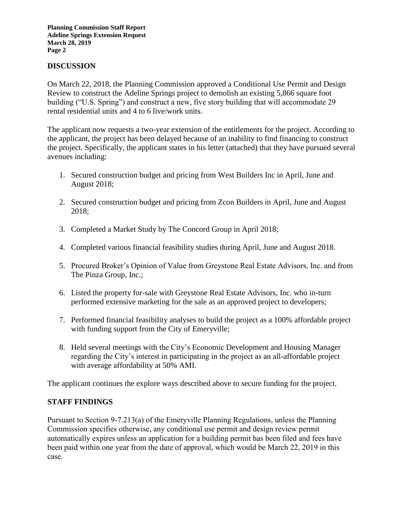**Planning Commission Staff Report Adeline Springs Extension Request March 28, 2019 Page 2**

### **DISCUSSION**

On March 22, 2018, the Planning Commission approved a Conditional Use Permit and Design Review to construct the Adeline Springs project to demolish an existing 5,866 square foot building ("U.S. Spring") and construct a new, five story building that will accommodate 29 rental residential units and 4 to 6 live/work units.

The applicant now requests a two-year extension of the entitlements for the project. According to the applicant, the project has been delayed because of an inability to find financing to construct the project. Specifically, the applicant states in his letter (attached) that they have pursued several avenues including:

- 1. Secured construction budget and pricing from West Builders Inc in April, June and August 2018;
- 2. Secured construction budget and pricing from Zcon Builders in April, June and August 2018;
- 3. Completed a Market Study by The Concord Group in April 2018;
- 4. Completed various financial feasibility studies during April, June and August 2018.
- 5. Procured Broker's Opinion of Value from Greystone Real Estate Advisors, Inc. and from The Pinza Group, Inc.;
- 6. Listed the property for-sale with Greystone Real Estate Advisors, Inc. who in-turn performed extensive marketing for the sale as an approved project to developers;
- 7. Performed financial feasibility analyses to build the project as a 100% affordable project with funding support from the City of Emeryville;
- 8. Held several meetings with the City's Economic Development and Housing Manager regarding the City's interest in participating in the project as an all-affordable project with average affordability at 50% AMI.

The applicant continues the explore ways described above to secure funding for the project.

#### **STAFF FINDINGS**

Pursuant to Section 9-7.213(a) of the Emeryville Planning Regulations, unless the Planning Commission specifies otherwise, any conditional use permit and design review permit automatically expires unless an application for a building permit has been filed and fees have been paid within one year from the date of approval, which would be March 22, 2019 in this case.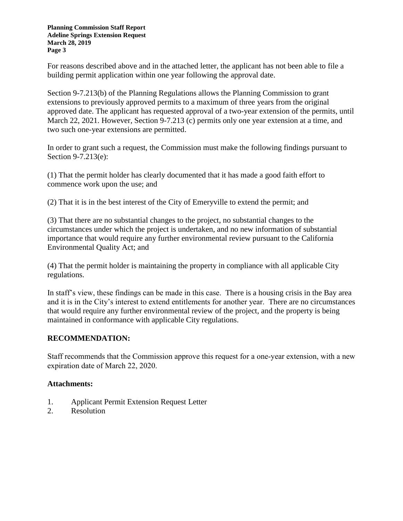**Planning Commission Staff Report Adeline Springs Extension Request March 28, 2019 Page 3**

For reasons described above and in the attached letter, the applicant has not been able to file a building permit application within one year following the approval date.

Section 9-7.213(b) of the Planning Regulations allows the Planning Commission to grant extensions to previously approved permits to a maximum of three years from the original approved date. The applicant has requested approval of a two-year extension of the permits, until March 22, 2021. However, Section 9-7.213 (c) permits only one year extension at a time, and two such one-year extensions are permitted.

In order to grant such a request, the Commission must make the following findings pursuant to Section 9-7.213(e):

(1) That the permit holder has clearly documented that it has made a good faith effort to commence work upon the use; and

(2) That it is in the best interest of the City of Emeryville to extend the permit; and

(3) That there are no substantial changes to the project, no substantial changes to the circumstances under which the project is undertaken, and no new information of substantial importance that would require any further environmental review pursuant to the California Environmental Quality Act; and

(4) That the permit holder is maintaining the property in compliance with all applicable City regulations.

In staff's view, these findings can be made in this case. There is a housing crisis in the Bay area and it is in the City's interest to extend entitlements for another year. There are no circumstances that would require any further environmental review of the project, and the property is being maintained in conformance with applicable City regulations.

## **RECOMMENDATION:**

Staff recommends that the Commission approve this request for a one-year extension, with a new expiration date of March 22, 2020.

## **Attachments:**

- 1. Applicant Permit Extension Request Letter
- 2. Resolution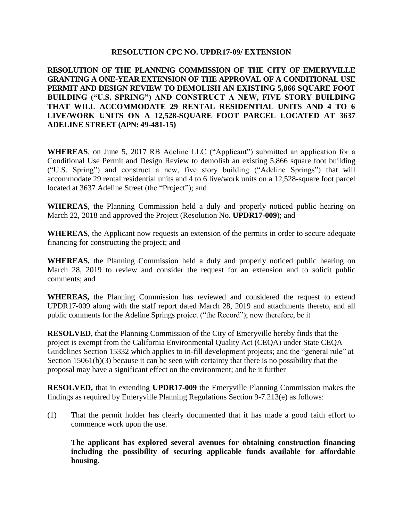#### **RESOLUTION CPC NO. UPDR17-09/ EXTENSION**

**RESOLUTION OF THE PLANNING COMMISSION OF THE CITY OF EMERYVILLE GRANTING A ONE-YEAR EXTENSION OF THE APPROVAL OF A CONDITIONAL USE PERMIT AND DESIGN REVIEW TO DEMOLISH AN EXISTING 5,866 SQUARE FOOT BUILDING ("U.S. SPRING") AND CONSTRUCT A NEW, FIVE STORY BUILDING THAT WILL ACCOMMODATE 29 RENTAL RESIDENTIAL UNITS AND 4 TO 6 LIVE/WORK UNITS ON A 12,528-SQUARE FOOT PARCEL LOCATED AT 3637 ADELINE STREET (APN: 49-481-15)**

**WHEREAS**, on June 5, 2017 RB Adeline LLC ("Applicant") submitted an application for a Conditional Use Permit and Design Review to demolish an existing 5,866 square foot building ("U.S. Spring") and construct a new, five story building ("Adeline Springs") that will accommodate 29 rental residential units and 4 to 6 live/work units on a 12,528-square foot parcel located at 3637 Adeline Street (the "Project"); and

**WHEREAS**, the Planning Commission held a duly and properly noticed public hearing on March 22, 2018 and approved the Project (Resolution No. **UPDR17-009**); and

**WHEREAS**, the Applicant now requests an extension of the permits in order to secure adequate financing for constructing the project; and

**WHEREAS,** the Planning Commission held a duly and properly noticed public hearing on March 28, 2019 to review and consider the request for an extension and to solicit public comments; and

**WHEREAS,** the Planning Commission has reviewed and considered the request to extend UPDR17-009 along with the staff report dated March 28, 2019 and attachments thereto, and all public comments for the Adeline Springs project ("the Record"); now therefore, be it

**RESOLVED**, that the Planning Commission of the City of Emeryville hereby finds that the project is exempt from the California Environmental Quality Act (CEQA) under State CEQA Guidelines Section 15332 which applies to in-fill development projects; and the "general rule" at Section 15061(b)(3) because it can be seen with certainty that there is no possibility that the proposal may have a significant effect on the environment; and be it further

**RESOLVED,** that in extending **UPDR17-009** the Emeryville Planning Commission makes the findings as required by Emeryville Planning Regulations Section 9-7.213(e) as follows:

(1) That the permit holder has clearly documented that it has made a good faith effort to commence work upon the use.

**The applicant has explored several avenues for obtaining construction financing including the possibility of securing applicable funds available for affordable housing.**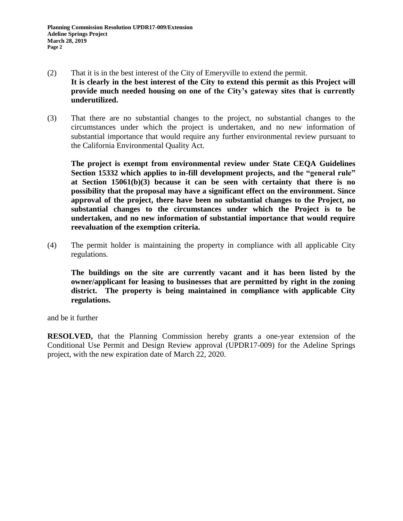- (2) That it is in the best interest of the City of Emeryville to extend the permit. **It is clearly in the best interest of the City to extend this permit as this Project will provide much needed housing on one of the City's gateway sites that is currently underutilized.**
- (3) That there are no substantial changes to the project, no substantial changes to the circumstances under which the project is undertaken, and no new information of substantial importance that would require any further environmental review pursuant to the California Environmental Quality Act.

**The project is exempt from environmental review under State CEQA Guidelines Section 15332 which applies to in-fill development projects, and the "general rule" at Section 15061(b)(3) because it can be seen with certainty that there is no possibility that the proposal may have a significant effect on the environment. Since approval of the project, there have been no substantial changes to the Project, no substantial changes to the circumstances under which the Project is to be undertaken, and no new information of substantial importance that would require reevaluation of the exemption criteria.**

(4) The permit holder is maintaining the property in compliance with all applicable City regulations.

**The buildings on the site are currently vacant and it has been listed by the owner/applicant for leasing to businesses that are permitted by right in the zoning district. The property is being maintained in compliance with applicable City regulations.**

and be it further

**RESOLVED,** that the Planning Commission hereby grants a one-year extension of the Conditional Use Permit and Design Review approval (UPDR17-009) for the Adeline Springs project, with the new expiration date of March 22, 2020.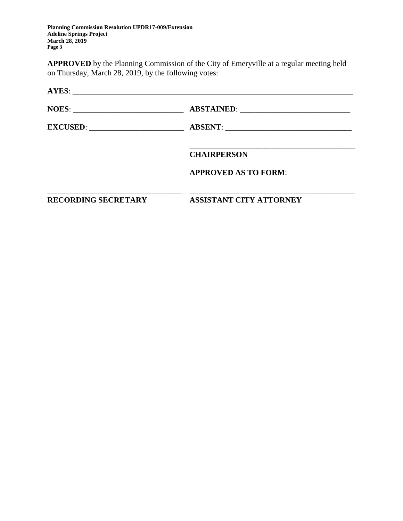**Planning Commission Resolution UPDR17-009/Extension Adeline Springs Project March 28, 2019 Page 3**

**APPROVED** by the Planning Commission of the City of Emeryville at a regular meeting held on Thursday, March 28, 2019, by the following votes:

| <b>RECORDING SECRETARY</b> | <b>ASSISTANT CITY ATTORNEY</b> |  |
|----------------------------|--------------------------------|--|
|                            | <b>APPROVED AS TO FORM:</b>    |  |
|                            | <b>CHAIRPERSON</b>             |  |
|                            |                                |  |
|                            |                                |  |
|                            |                                |  |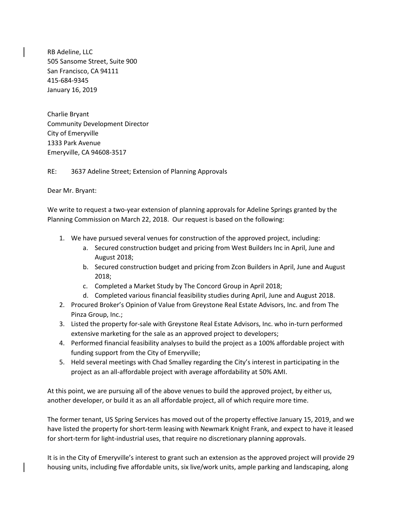RB Adeline, LLC 505 Sansome Street, Suite 900 San Francisco, CA 94111 415-684-9345 January 16, 2019

Charlie Bryant Community Development Director City of Emeryville 1333 Park Avenue Emeryville, CA 94608-3517

RE: 3637 Adeline Street; Extension of Planning Approvals

Dear Mr. Bryant:

We write to request a two-year extension of planning approvals for Adeline Springs granted by the Planning Commission on March 22, 2018. Our request is based on the following:

- 1. We have pursued several venues for construction of the approved project, including:
	- a. Secured construction budget and pricing from West Builders Inc in April, June and August 2018;
	- b. Secured construction budget and pricing from Zcon Builders in April, June and August 2018;
	- c. Completed a Market Study by The Concord Group in April 2018;
	- d. Completed various financial feasibility studies during April, June and August 2018.
- 2. Procured Broker's Opinion of Value from Greystone Real Estate Advisors, Inc. and from The Pinza Group, Inc.;
- 3. Listed the property for-sale with Greystone Real Estate Advisors, Inc. who in-turn performed extensive marketing for the sale as an approved project to developers;
- 4. Performed financial feasibility analyses to build the project as a 100% affordable project with funding support from the City of Emeryville;
- 5. Held several meetings with Chad Smalley regarding the City's interest in participating in the project as an all-affordable project with average affordability at 50% AMI.

At this point, we are pursuing all of the above venues to build the approved project, by either us, another developer, or build it as an all affordable project, all of which require more time.

The former tenant, US Spring Services has moved out of the property effective January 15, 2019, and we have listed the property for short-term leasing with Newmark Knight Frank, and expect to have it leased for short-term for light-industrial uses, that require no discretionary planning approvals.

It is in the City of Emeryville's interest to grant such an extension as the approved project will provide 29 housing units, including five affordable units, six live/work units, ample parking and landscaping, along